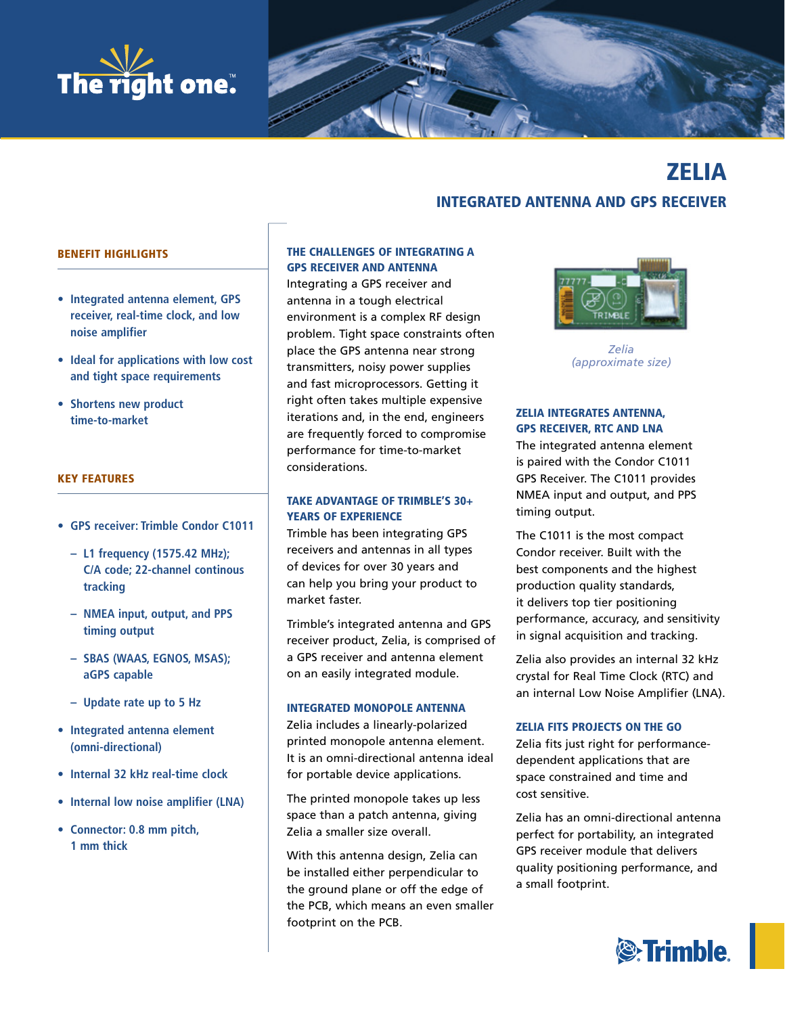



# zelia integrated antenna and gPS receiver

## BeneFit HigHligHtS

- **Integrated antenna element, GPS receiver, real-time clock, and low noise amplifier**
- **Ideal for applications with low cost and tight space requirements**
- **Shortens new product time-to-market**

#### KeY FeatUreS

- **GPS receiver: Trimble Condor C1011**
	- **– L1 frequency (1575.42 MHz); C/A code; 22-channel continous tracking**
	- **– NMEA input, output, and PPS timing output**
	- **– SBAS (WAAS, EGNOS, MSAS); aGPS capable**
	- **– Update rate up to 5 Hz**
- **Integrated antenna element (omni-directional)**
- **Internal 32 kHz real-time clock**
- **Internal low noise amplifier (LNA)**
- **Connector: 0.8 mm pitch, 1 mm thick**

# THE CHALLENGES OF INTEGRATING A gPS receiver and antenna

Integrating a GPS receiver and antenna in a tough electrical environment is a complex RF design problem. Tight space constraints often place the GPS antenna near strong transmitters, noisy power supplies and fast microprocessors. Getting it right often takes multiple expensive iterations and, in the end, engineers are frequently forced to compromise performance for time-to-market considerations.

# taKe advantage OF trimBle'S 30+ YEARS OF EXPERIENCE

Trimble has been integrating GPS receivers and antennas in all types of devices for over 30 years and can help you bring your product to market faster.

Trimble's integrated antenna and GPS receiver product, Zelia, is comprised of a GPS receiver and antenna element on an easily integrated module.

#### integrated mOnOPOle antenna

Zelia includes a linearly-polarized printed monopole antenna element. It is an omni-directional antenna ideal for portable device applications.

The printed monopole takes up less space than a patch antenna, giving Zelia a smaller size overall.

With this antenna design, Zelia can be installed either perpendicular to the ground plane or off the edge of the PCB, which means an even smaller footprint on the PCB.



*Zelia (approximate size)*

# **ZELIA INTEGRATES ANTENNA,** gPS receiver, rtc and lna

The integrated antenna element is paired with the Condor C1011 GPS Receiver. The C1011 provides NMEA input and output, and PPS timing output.

The C1011 is the most compact Condor receiver. Built with the best components and the highest production quality standards, it delivers top tier positioning performance, accuracy, and sensitivity in signal acquisition and tracking.

Zelia also provides an internal 32 kHz crystal for Real Time Clock (RTC) and an internal Low Noise Amplifier (LNA).

#### zelia FitS PrOJectS On tHe gO

Zelia fits just right for performancedependent applications that are space constrained and time and cost sensitive.

Zelia has an omni-directional antenna perfect for portability, an integrated GPS receiver module that delivers quality positioning performance, and a small footprint.